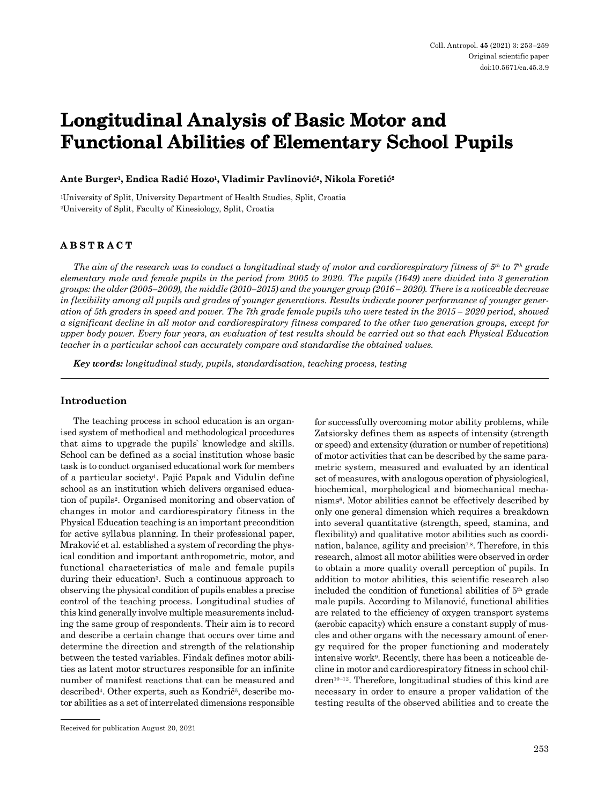# **Longitudinal Analysis of Basic Motor and Functional Abilities of Elementary School Pupils**

## **Ante Burger1, Endica Radić Hozo1, Vladimir Pavlinović2, Nikola Foretić<sup>2</sup>**

1University of Split, University Department of Health Studies, Split, Croatia 2University of Split, Faculty of Kinesiology, Split, Croatia

## **ABSTRACT**

*The aim of the research was to conduct a longitudinal study of motor and cardiorespiratory fitness of 5th to 7th grade elementary male and female pupils in the period from 2005 to 2020. The pupils (1649) were divided into 3 generation groups: the older (2005–2009), the middle (2010–2015) and the younger group (2016 – 2020). There is a noticeable decrease in flexibility among all pupils and grades of younger generations. Results indicate poorer performance of younger generation of 5th graders in speed and power. The 7th grade female pupils who were tested in the 2015 – 2020 period, showed a significant decline in all motor and cardiorespiratory fitness compared to the other two generation groups, except for upper body power. Every four years, an evaluation of test results should be carried out so that each Physical Education teacher in a particular school can accurately compare and standardise the obtained values.* 

*Key words: longitudinal study, pupils, standardisation, teaching process, testing*

### **Introduction**

The teaching process in school education is an organised system of methodical and methodological procedures that aims to upgrade the pupils` knowledge and skills. School can be defined as a social institution whose basic task is to conduct organised educational work for members of a particular society1. Pajić Papak and Vidulin define school as an institution which delivers organised education of pupils2. Organised monitoring and observation of changes in motor and cardiorespiratory fitness in the Physical Education teaching is an important precondition for active syllabus planning. In their professional paper, Mraković et al. established a system of recording the physical condition and important anthropometric, motor, and functional characteristics of male and female pupils during their education3. Such a continuous approach to observing the physical condition of pupils enables a precise control of the teaching process. Longitudinal studies of this kind generally involve multiple measurements including the same group of respondents. Their aim is to record and describe a certain change that occurs over time and determine the direction and strength of the relationship between the tested variables. Findak defines motor abilities as latent motor structures responsible for an infinite number of manifest reactions that can be measured and described<sup>4</sup>. Other experts, such as Kondrič<sup>5</sup>, describe motor abilities as a set of interrelated dimensions responsible for successfully overcoming motor ability problems, while Zatsiorsky defines them as aspects of intensity (strength or speed) and extensity (duration or number of repetitions) of motor activities that can be described by the same parametric system, measured and evaluated by an identical set of measures, with analogous operation of physiological, biochemical, morphological and biomechanical mechanisms<sup>6</sup>. Motor abilities cannot be effectively described by only one general dimension which requires a breakdown into several quantitative (strength, speed, stamina, and flexibility) and qualitative motor abilities such as coordination, balance, agility and precision<sup>7,8</sup>. Therefore, in this research, almost all motor abilities were observed in order to obtain a more quality overall perception of pupils. In addition to motor abilities, this scientific research also included the condition of functional abilities of 5th grade male pupils. According to Milanović, functional abilities are related to the efficiency of oxygen transport systems (aerobic capacity) which ensure a constant supply of muscles and other organs with the necessary amount of energy required for the proper functioning and moderately intensive work<sup>9</sup>. Recently, there has been a noticeable decline in motor and cardiorespiratory fitness in school children10–12. Therefore, longitudinal studies of this kind are necessary in order to ensure a proper validation of the testing results of the observed abilities and to create the

Received for publication August 20, 2021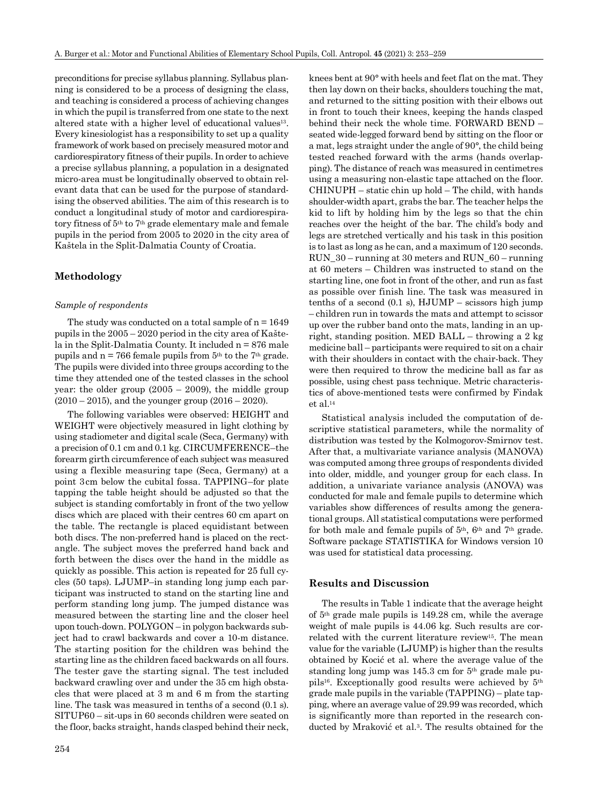preconditions for precise syllabus planning. Syllabus planning is considered to be a process of designing the class, and teaching is considered a process of achieving changes in which the pupil is transferred from one state to the next altered state with a higher level of educational values<sup>13</sup>. Every kinesiologist has a responsibility to set up a quality framework of work based on precisely measured motor and cardiorespiratory fitness of their pupils. In order to achieve a precise syllabus planning, a population in a designated micro-area must be longitudinally observed to obtain relevant data that can be used for the purpose of standardising the observed abilities. The aim of this research is to conduct a longitudinal study of motor and cardiorespiratory fitness of 5th to 7th grade elementary male and female pupils in the period from 2005 to 2020 in the city area of Kaštela in the Split-Dalmatia County of Croatia.

## **Methodology**

#### *Sample of respondents*

The study was conducted on a total sample of  $n = 1649$ pupils in the 2005 – 2020 period in the city area of Kaštela in the Split-Dalmatia County. It included  $n = 876$  male pupils and  $n = 766$  female pupils from  $5<sup>th</sup>$  to the  $7<sup>th</sup>$  grade. The pupils were divided into three groups according to the time they attended one of the tested classes in the school year: the older group  $(2005 - 2009)$ , the middle group  $(2010 - 2015)$ , and the younger group  $(2016 - 2020)$ .

The following variables were observed: HEIGHT and WEIGHT were objectively measured in light clothing by using stadiometer and digital scale (Seca, Germany) with a precision of 0.1 cm and 0.1 kg. CIRCUMFERENCE–the forearm girth circumference of each subject was measured using a flexible measuring tape (Seca, Germany) at a point 3cm below the cubital fossa. TAPPING–for plate tapping the table height should be adjusted so that the subject is standing comfortably in front of the two yellow discs which are placed with their centres 60 cm apart on the table. The rectangle is placed equidistant between both discs. The non-preferred hand is placed on the rectangle. The subject moves the preferred hand back and forth between the discs over the hand in the middle as quickly as possible. This action is repeated for 25 full cycles (50 taps). LJUMP–in standing long jump each participant was instructed to stand on the starting line and perform standing long jump. The jumped distance was measured between the starting line and the closer heel upon touch-down. POLYGON – in polygon backwards subject had to crawl backwards and cover a 10-m distance. The starting position for the children was behind the starting line as the children faced backwards on all fours. The tester gave the starting signal. The test included backward crawling over and under the 35 cm high obstacles that were placed at 3 m and 6 m from the starting line. The task was measured in tenths of a second (0.1 s). SITUP60 – sit-ups in 60 seconds children were seated on the floor, backs straight, hands clasped behind their neck, knees bent at 90° with heels and feet flat on the mat. They then lay down on their backs, shoulders touching the mat, and returned to the sitting position with their elbows out in front to touch their knees, keeping the hands clasped behind their neck the whole time. FORWARD BEND – seated wide-legged forward bend by sitting on the floor or a mat, legs straight under the angle of 90°, the child being tested reached forward with the arms (hands overlapping). The distance of reach was measured in centimetres using a measuring non-elastic tape attached on the floor. CHINUPH – static chin up hold – The child, with hands shoulder-width apart, grabs the bar. The teacher helps the kid to lift by holding him by the legs so that the chin reaches over the height of the bar. The child's body and legs are stretched vertically and his task in this position is to last as long as he can, and a maximum of 120 seconds. RUN\_30 – running at 30 meters and RUN\_60 – running at 60 meters – Children was instructed to stand on the starting line, one foot in front of the other, and run as fast as possible over finish line. The task was measured in tenths of a second  $(0.1 \text{ s})$ ,  $HJUMP - scissors high jump$ – children run in towards the mats and attempt to scissor up over the rubber band onto the mats, landing in an upright, standing position. MED BALL – throwing a 2 kg medicine ball – participants were required to sit on a chair with their shoulders in contact with the chair-back. They were then required to throw the medicine ball as far as possible, using chest pass technique. Metric characteristics of above-mentioned tests were confirmed by Findak et al.14

Statistical analysis included the computation of descriptive statistical parameters, while the normality of distribution was tested by the Kolmogorov-Smirnov test. After that, a multivariate variance analysis (MANOVA) was computed among three groups of respondents divided into older, middle, and younger group for each class. In addition, a univariate variance analysis (ANOVA) was conducted for male and female pupils to determine which variables show differences of results among the generational groups. All statistical computations were performed for both male and female pupils of  $5<sup>th</sup>$ ,  $6<sup>th</sup>$  and  $7<sup>th</sup>$  grade. Software package STATISTIKA for Windows version 10 was used for statistical data processing.

## **Results and Discussion**

The results in Table 1 indicate that the average height of 5th grade male pupils is 149.28 cm, while the average weight of male pupils is 44.06 kg. Such results are correlated with the current literature review15. The mean value for the variable (LJUMP) is higher than the results obtained by Kocić et al. where the average value of the standing long jump was  $145.3$  cm for  $5<sup>th</sup>$  grade male pupils16. Exceptionally good results were achieved by 5th grade male pupils in the variable (TAPPING) – plate tapping, where an average value of 29.99 was recorded, which is significantly more than reported in the research conducted by Mraković et al.3. The results obtained for the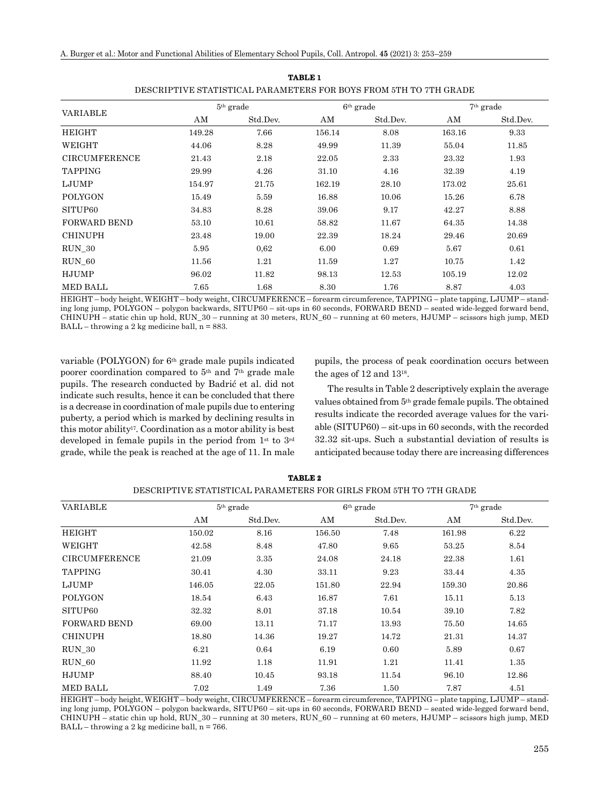|                      |        | $5th$ grade |        | $6th$ grade | $7th$ grade |          |  |
|----------------------|--------|-------------|--------|-------------|-------------|----------|--|
| VARIABLE             | AM     | Std.Dev.    | ΑM     | Std.Dev.    | AΜ          | Std.Dev. |  |
| HEIGHT               | 149.28 | 7.66        | 156.14 | 8.08        | 163.16      | 9.33     |  |
| WEIGHT               | 44.06  | 8.28        | 49.99  | 11.39       | 55.04       | 11.85    |  |
| <b>CIRCUMFERENCE</b> | 21.43  | 2.18        | 22.05  | 2.33        | 23.32       | 1.93     |  |
| <b>TAPPING</b>       | 29.99  | 4.26        | 31.10  | 4.16        | 32.39       | 4.19     |  |
| LJUMP                | 154.97 | 21.75       | 162.19 | 28.10       | 173.02      | 25.61    |  |
| <b>POLYGON</b>       | 15.49  | 5.59        | 16.88  | 10.06       | 15.26       | 6.78     |  |
| SITUP60              | 34.83  | 8.28        | 39.06  | 9.17        | 42.27       | 8.88     |  |
| <b>FORWARD BEND</b>  | 53.10  | 10.61       | 58.82  | 11.67       | 64.35       | 14.38    |  |
| <b>CHINUPH</b>       | 23.48  | 19.00       | 22.39  | 18.24       | 29.46       | 20.69    |  |
| RUN 30               | 5.95   | 0.62        | 6.00   | 0.69        | 5.67        | 0.61     |  |
| RUN 60               | 11.56  | 1.21        | 11.59  | 1.27        | 10.75       | 1.42     |  |
| HJUMP                | 96.02  | 11.82       | 98.13  | 12.53       | 105.19      | 12.02    |  |
| <b>MED BALL</b>      | 7.65   | 1.68        | 8.30   | 1.76        | 8.87        | 4.03     |  |

**TABLE 1** DESCRIPTIVE STATISTICAL PARAMETERS FOR BOYS FROM 5TH TO 7TH GRADE

HEIGHT – body height, WEIGHT – body weight, CIRCUMFERENCE – forearm circumference, TAPPING – plate tapping, LJUMP – standing long jump, POLYGON – polygon backwards, SITUP60 – sit-ups in 60 seconds, FORWARD BEND – seated wide-legged forward bend, CHINUPH – static chin up hold, RUN\_30 – running at 30 meters, RUN\_60 – running at 60 meters, HJUMP – scissors high jump, MED  $BALL - throwing a 2 kg medicine ball, n = 883.$ 

variable (POLYGON) for  $6<sup>th</sup>$  grade male pupils indicated poorer coordination compared to 5th and 7th grade male pupils. The research conducted by Badrić et al. did not indicate such results, hence it can be concluded that there is a decrease in coordination of male pupils due to entering puberty, a period which is marked by declining results in this motor ability17. Coordination as a motor ability is best developed in female pupils in the period from 1st to 3rd grade, while the peak is reached at the age of 11. In male pupils, the process of peak coordination occurs between the ages of 12 and 1318.

The results in Table 2 descriptively explain the average values obtained from 5th grade female pupils. The obtained results indicate the recorded average values for the variable (SITUP60) – sit-ups in 60 seconds, with the recorded 32.32 sit-ups. Such a substantial deviation of results is anticipated because today there are increasing differences

| <b>VARIABLE</b>      |        | $5th$ grade | $6th$ grade | $7th$ grade |        |          |
|----------------------|--------|-------------|-------------|-------------|--------|----------|
|                      | ΑM     | Std.Dev.    | AM          | Std.Dev.    | AM     | Std.Dev. |
| <b>HEIGHT</b>        | 150.02 | 8.16        | 156.50      | 7.48        | 161.98 | 6.22     |
| WEIGHT               | 42.58  | 8.48        | 47.80       | 9.65        | 53.25  | 8.54     |
| <b>CIRCUMFERENCE</b> | 21.09  | 3.35        | 24.08       | 24.18       | 22.38  | 1.61     |
| <b>TAPPING</b>       | 30.41  | 4.30        | 33.11       | 9.23        | 33.44  | 4.35     |
| LJUMP                | 146.05 | 22.05       | 151.80      | 22.94       | 159.30 | 20.86    |
| <b>POLYGON</b>       | 18.54  | 6.43        | 16.87       | 7.61        | 15.11  | 5.13     |
| SITUP60              | 32.32  | 8.01        | 37.18       | 10.54       | 39.10  | 7.82     |
| <b>FORWARD BEND</b>  | 69.00  | 13.11       | 71.17       | 13.93       | 75.50  | 14.65    |
| <b>CHINUPH</b>       | 18.80  | 14.36       | 19.27       | 14.72       | 21.31  | 14.37    |
| RUN 30               | 6.21   | 0.64        | 6.19        | 0.60        | 5.89   | 0.67     |
| RUN 60               | 11.92  | 1.18        | 11.91       | 1.21        | 11.41  | 1.35     |
| HJUMP                | 88.40  | 10.45       | 93.18       | 11.54       | 96.10  | 12.86    |
| <b>MED BALL</b>      | 7.02   | 1.49        | 7.36        | 1.50        | 7.87   | 4.51     |

**TABLE 2** DESCRIPTIVE STATISTICAL PARAMETERS FOR GIRLS FROM 5TH TO 7TH GRADE

HEIGHT – body height, WEIGHT – body weight, CIRCUMFERENCE – forearm circumference, TAPPING – plate tapping, LJUMP – standing long jump, POLYGON – polygon backwards, SITUP60 – sit-ups in 60 seconds, FORWARD BEND – seated wide-legged forward bend, CHINUPH – static chin up hold, RUN\_30 – running at 30 meters, RUN\_60 – running at 60 meters, HJUMP – scissors high jump, MED  $BALL - throwing a 2 kg medicine ball, n = 766.$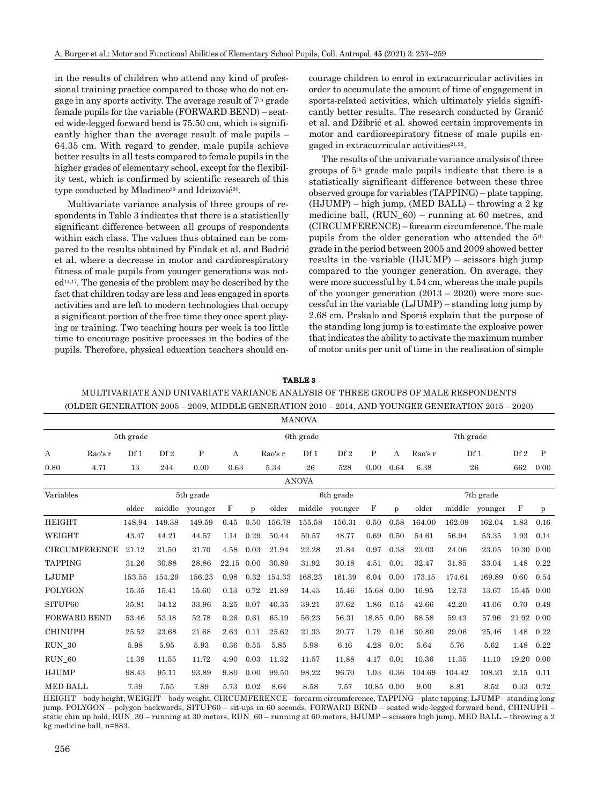in the results of children who attend any kind of professional training practice compared to those who do not engage in any sports activity. The average result of 7th grade female pupils for the variable (FORWARD BEND) – seated wide-legged forward bend is 75.50 cm, which is significantly higher than the average result of male pupils – 64.35 cm. With regard to gender, male pupils achieve better results in all tests compared to female pupils in the higher grades of elementary school, except for the flexibility test, which is confirmed by scientific research of this type conducted by Mladineo<sup>19</sup> and Idrizović<sup>20</sup>.

Multivariate variance analysis of three groups of respondents in Table 3 indicates that there is a statistically significant difference between all groups of respondents within each class. The values thus obtained can be compared to the results obtained by Findak et al. and Badrić et al. where a decrease in motor and cardiorespiratory fitness of male pupils from younger generations was not $ed<sup>14,17</sup>$ . The genesis of the problem may be described by the fact that children today are less and less engaged in sports activities and are left to modern technologies that occupy a significant portion of the free time they once spent playing or training. Two teaching hours per week is too little time to encourage positive processes in the bodies of the pupils. Therefore, physical education teachers should encourage children to enrol in extracurricular activities in order to accumulate the amount of time of engagement in sports-related activities, which ultimately yields significantly better results. The research conducted by Granić et al. and Džibrić et al. showed certain improvements in motor and cardiorespiratory fitness of male pupils engaged in extracurricular activities<sup>21,22</sup>.

The results of the univariate variance analysis of three groups of 5th grade male pupils indicate that there is a statistically significant difference between these three observed groups for variables (TAPPING) – plate tapping, (HJUMP) – high jump, (MED BALL) – throwing a 2 kg medicine ball, (RUN\_60) – running at 60 metres, and (CIRCUMFERENCE) – forearm circumference. The male pupils from the older generation who attended the 5th grade in the period between 2005 and 2009 showed better results in the variable (HJUMP) – scissors high jump compared to the younger generation. On average, they were more successful by 4.54 cm, whereas the male pupils of the younger generation  $(2013 - 2020)$  were more successful in the variable (LJUMP) – standing long jump by 2.68 cm. Prskalo and Sporiš explain that the purpose of the standing long jump is to estimate the explosive power that indicates the ability to activate the maximum number of motor units per unit of time in the realisation of simple

#### **TABLE 3**

## MULTIVARIATE AND UNIVARIATE VARIANCE ANALYSIS OF THREE GROUPS OF MALE RESPONDENTS (OLDER GENERATION 2005 – 2009, MIDDLE GENERATION 2010 – 2014, AND YOUNGER GENERATION 2015 – 2020)

|                        | <b>MANOVA</b>        |        |                 |         |              |           |        |                 |         |             |           |           |        |                 |             |              |  |  |
|------------------------|----------------------|--------|-----------------|---------|--------------|-----------|--------|-----------------|---------|-------------|-----------|-----------|--------|-----------------|-------------|--------------|--|--|
| 5th grade              |                      |        |                 |         |              | 6th grade |        |                 |         |             |           | 7th grade |        |                 |             |              |  |  |
| Λ                      | Rao's r              | Df1    | Df <sub>2</sub> | Ρ       | Rao's r<br>Λ |           | Df 1   | Df <sub>2</sub> | P       | Λ           | Rao's r   | Df 1      |        | Df <sub>2</sub> | P           |              |  |  |
| 0.80                   | 4.71                 | 13     | 244             | 0.00    | 0.63<br>5.34 |           | 26     | 528             | 0.00    | 0.64        | 6.38      | 26        |        | 662             | 0.00        |              |  |  |
| <b>ANOVA</b>           |                      |        |                 |         |              |           |        |                 |         |             |           |           |        |                 |             |              |  |  |
| Variables<br>5th grade |                      |        |                 |         | 6th grade    |           |        |                 |         |             | 7th grade |           |        |                 |             |              |  |  |
|                        |                      | older  | middle          | younger | $\mathbf F$  | p         | older  | middle          | younger | $\mathbf F$ | p         | older     | middle | younger         | $\mathbf F$ | $\mathbf{p}$ |  |  |
| <b>HEIGHT</b>          |                      | 148.94 | 149.38          | 149.59  | 0.45         | 0.50      | 156.78 | 155.58          | 156.31  | 0.50        | 0.58      | 164.00    | 162.09 | 162.04          | 1.83        | 0.16         |  |  |
| WEIGHT                 |                      | 43.47  | 44.21           | 44.57   | 1.14         | 0.29      | 50.44  | 50.57           | 48.77   | 0.69        | 0.50      | 54.61     | 56.94  | 53.35           | 1.93        | 0.14         |  |  |
|                        | <b>CIRCUMFERENCE</b> | 21.12  | 21.50           | 21.70   | 4.58         | 0.03      | 21.94  | 22.28           | 21.84   | 0.97        | 0.38      | 23.03     | 24.06  | 23.05           | 10.30       | 0.00         |  |  |
| <b>TAPPING</b>         |                      | 31.26  | 30.88           | 28.86   | 22.15        | 0.00      | 30.89  | 31.92           | 30.18   | 4.51        | 0.01      | 32.47     | 31.85  | 33.04           | 1.48        | 0.22         |  |  |
| LJUMP                  |                      | 153.55 | 154.29          | 156.23  | 0.98         | 0.32      | 154.33 | 168.23          | 161.39  | 6.04        | 0.00      | 173.15    | 174.61 | 169.89          | 0.60        | 0.54         |  |  |
| POLYGON                |                      | 15.35  | 15.41           | 15.60   | 0.13         | 0.72      | 21.89  | 14.43           | 15.46   | 15.68       | 0.00      | 16.95     | 12.73  | 13.67           | 15.45       | 0.00         |  |  |
| SITUP60                |                      | 35.81  | 34.12           | 33.96   | 3.25         | 0.07      | 40.35  | 39.21           | 37.62   | 1.86        | 0.15      | 42.66     | 42.20  | 41.06           | 0.70        | 0.49         |  |  |
| <b>FORWARD BEND</b>    |                      | 53.46  | 53.18           | 52.78   | 0.26         | 0.61      | 65.19  | 56.23           | 56.31   | 18.85       | 0.00      | 68.58     | 59.43  | 57.96           | 21.92       | 0.00         |  |  |
| <b>CHINUPH</b>         |                      | 25.52  | 23.68           | 21.68   | 2.63         | 0.11      | 25.62  | 21.33           | 20.77   | 1.79        | 0.16      | 30.80     | 29.06  | 25.46           | 1.48        | 0.22         |  |  |
| $RUN_30$               |                      | 5.98   | 5.95            | 5.93    | 0.36         | 0.55      | 5.85   | 5.98            | 6.16    | 4.28        | 0.01      | 5.64      | 5.76   | 5.62            | 1.48        | 0.22         |  |  |
| RUN 60                 |                      | 11.39  | 11.55           | 11.72   | 4.90         | 0.03      | 11.32  | 11.57           | 11.88   | 4.17        | 0.01      | 10.36     | 11.35  | 11.10           | 19.20       | 0.00         |  |  |
| <b>HJUMP</b>           |                      | 98.43  | 95.11           | 93.89   | 9.80         | 0.00      | 99.50  | 98.22           | 96.70   | 1.03        | 0.36      | 104.69    | 104.42 | 108.21          | 2.15        | 0.11         |  |  |
| <b>MED BALL</b>        |                      | 7.39   | 7.55            | 7.89    | 5.73         | 0.02      | 8.64   | 8.58            | 7.57    | 10.85 0.00  |           | 9.00      | 8.81   | 8.52            | 0.33        | 0.72         |  |  |

HEIGHT – body height, WEIGHT – body weight, CIRCUMFERENCE – forearm circumference, TAPPING – plate tapping, LJUMP – standing long jump, POLYGON – polygon backwards, SITUP60 – sit-ups in 60 seconds, FORWARD BEND – seated wide-legged forward bend, CHINUPH – static chin up hold, RUN  $30$  – running at 30 meters, RUN  $60$  – running at 60 meters, HJUMP – scissors high jump, MED BALL – throwing a 2 kg medicine ball, n=883.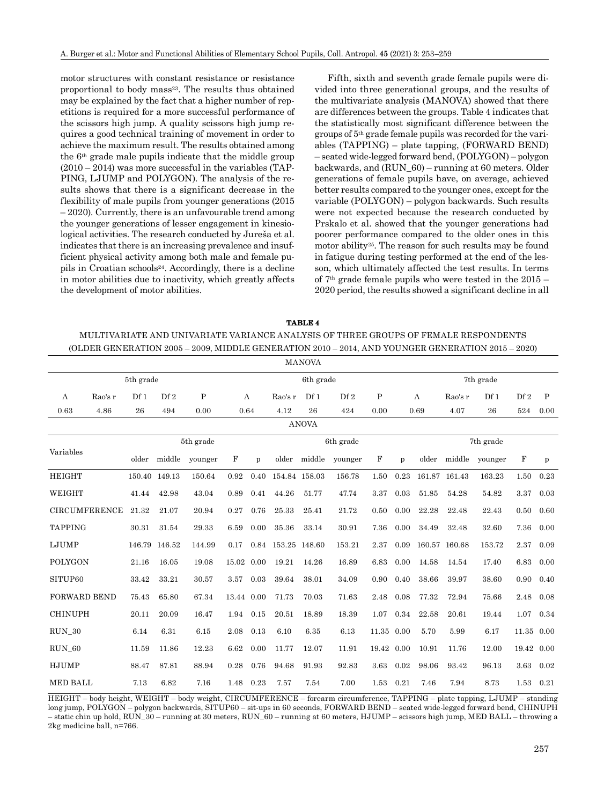motor structures with constant resistance or resistance proportional to body mass<sup>23</sup>. The results thus obtained may be explained by the fact that a higher number of repetitions is required for a more successful performance of the scissors high jump. A quality scissors high jump requires a good technical training of movement in order to achieve the maximum result. The results obtained among the 6th grade male pupils indicate that the middle group  $(2010 - 2014)$  was more successful in the variables (TAP-PING, LJUMP and POLYGON). The analysis of the results shows that there is a significant decrease in the flexibility of male pupils from younger generations (2015 – 2020). Currently, there is an unfavourable trend among the younger generations of lesser engagement in kinesiological activities. The research conducted by Jureša et al. indicates that there is an increasing prevalence and insufficient physical activity among both male and female pupils in Croatian schools24. Accordingly, there is a decline in motor abilities due to inactivity, which greatly affects the development of motor abilities.

Fifth, sixth and seventh grade female pupils were divided into three generational groups, and the results of the multivariate analysis (MANOVA) showed that there are differences between the groups. Table 4 indicates that the statistically most significant difference between the groups of 5th grade female pupils was recorded for the variables (TAPPING) – plate tapping, (FORWARD BEND) – seated wide-legged forward bend, (POLYGON) – polygon backwards, and (RUN\_60) – running at 60 meters. Older generations of female pupils have, on average, achieved better results compared to the younger ones, except for the variable (POLYGON) – polygon backwards. Such results were not expected because the research conducted by Prskalo et al. showed that the younger generations had poorer performance compared to the older ones in this motor ability25. The reason for such results may be found in fatigue during testing performed at the end of the lesson, which ultimately affected the test results. In terms of 7th grade female pupils who were tested in the 2015 – 2020 period, the results showed a significant decline in all

| TARLE 4                                                                                           |
|---------------------------------------------------------------------------------------------------|
| MULTIVARIATE AND UNIVARIATE VARIANCE ANALYSIS OF THREE GROUPS OF FEMALE RESPONDENTS               |
| (OLDER GENERATION 2005 – 2009, MIDDLE GENERATION 2010 – 2014, AND YOUNGER GENERATION 2015 – 2020) |

|                     |                      |        |               |           |            |       |               | <b>MANOVA</b> |                 |           |       |           |         |        |                 |      |
|---------------------|----------------------|--------|---------------|-----------|------------|-------|---------------|---------------|-----------------|-----------|-------|-----------|---------|--------|-----------------|------|
| 5th grade           |                      |        |               |           |            |       |               | 6th grade     |                 | 7th grade |       |           |         |        |                 |      |
| Λ                   | Rao's r              | Df1    | Df2           | P         | $\Lambda$  |       | Rao's r       | Df1           | Df <sub>2</sub> | P         |       | $\Lambda$ | Rao's r | Df1    | Df <sub>2</sub> | P    |
| 0.63                | 4.86                 | 26     | 494           | 0.00      | 0.64       |       | 4.12          | 26            | 424             | 0.00      | 0.69  |           | 4.07    | 26     | 524             | 0.00 |
| <b>ANOVA</b>        |                      |        |               |           |            |       |               |               |                 |           |       |           |         |        |                 |      |
|                     |                      |        |               | 5th grade | 6th grade  |       |               |               | 7th grade       |           |       |           |         |        |                 |      |
| Variables           | middle<br>older      |        | younger       | F         | p          | older | middle        | younger       | $\mathbf F$     | p         | older | middle    | younger | F      | p               |      |
| HEIGHT              |                      |        | 150.40 149.13 | 150.64    | 0.92       | 0.40  | 154.84 158.03 |               | 156.78          | 1.50      | 0.23  | 161.87    | 161.43  | 163.23 | 1.50            | 0.23 |
| WEIGHT              |                      | 41.44  | 42.98         | 43.04     | 0.89       | 0.41  | 44.26         | 51.77         | 47.74           | 3.37      | 0.03  | 51.85     | 54.28   | 54.82  | 3.37            | 0.03 |
|                     | <b>CIRCUMFERENCE</b> | 21.32  | 21.07         | 20.94     | 0.27       | 0.76  | 25.33         | 25.41         | 21.72           | 0.50      | 0.00  | 22.28     | 22.48   | 22.43  | 0.50            | 0.60 |
| <b>TAPPING</b>      |                      | 30.31  | 31.54         | 29.33     | 6.59       | 0.00  | 35.36         | 33.14         | 30.91           | 7.36      | 0.00  | 34.49     | 32.48   | 32.60  | 7.36            | 0.00 |
| LJUMP               |                      | 146.79 | 146.52        | 144.99    | 0.17       | 0.84  | 153.25 148.60 |               | 153.21          | 2.37      | 0.09  | 160.57    | 160.68  | 153.72 | 2.37            | 0.09 |
| <b>POLYGON</b>      |                      | 21.16  | 16.05         | 19.08     | 15.02 0.00 |       | 19.21         | 14.26         | 16.89           | 6.83      | 0.00  | 14.58     | 14.54   | 17.40  | 6.83            | 0.00 |
| SITUP60             |                      | 33.42  | 33.21         | 30.57     | 3.57       | 0.03  | 39.64         | 38.01         | 34.09           | 0.90      | 0.40  | 38.66     | 39.97   | 38.60  | 0.90            | 0.40 |
| <b>FORWARD BEND</b> |                      | 75.43  | 65.80         | 67.34     | 13.44 0.00 |       | 71.73         | 70.03         | 71.63           | 2.48      | 0.08  | 77.32     | 72.94   | 75.66  | 2.48            | 0.08 |
| <b>CHINUPH</b>      |                      | 20.11  | 20.09         | 16.47     | 1.94       | 0.15  | 20.51         | 18.89         | 18.39           | 1.07      | 0.34  | 22.58     | 20.61   | 19.44  | 1.07            | 0.34 |
| RUN 30              |                      | 6.14   | 6.31          | 6.15      | 2.08       | 0.13  | 6.10          | 6.35          | 6.13            | 11.35     | 0.00  | 5.70      | 5.99    | 6.17   | 11.35           | 0.00 |
| RUN 60              |                      | 11.59  | 11.86         | 12.23     | 6.62       | 0.00  | 11.77         | 12.07         | 11.91           | 19.42     | 0.00  | 10.91     | 11.76   | 12.00  | 19.42           | 0.00 |
| <b>HJUMP</b>        |                      | 88.47  | 87.81         | 88.94     | 0.28       | 0.76  | 94.68         | 91.93         | 92.83           | 3.63      | 0.02  | 98.06     | 93.42   | 96.13  | 3.63            | 0.02 |
| <b>MED BALL</b>     |                      | 7.13   | 6.82          | 7.16      | 1.48       | 0.23  | 7.57          | 7.54          | 7.00            | 1.53      | 0.21  | 7.46      | 7.94    | 8.73   | 1.53            | 0.21 |

HEIGHT – body height, WEIGHT – body weight, CIRCUMFERENCE – forearm circumference, TAPPING – plate tapping, LJUMP – standing long jump, POLYGON – polygon backwards, SITUP60 – sit-ups in 60 seconds, FORWARD BEND – seated wide-legged forward bend, CHINUPH – static chin up hold, RUN\_30 – running at 30 meters, RUN\_60 – running at 60 meters, HJUMP – scissors high jump, MED BALL – throwing a 2kg medicine ball, n=766.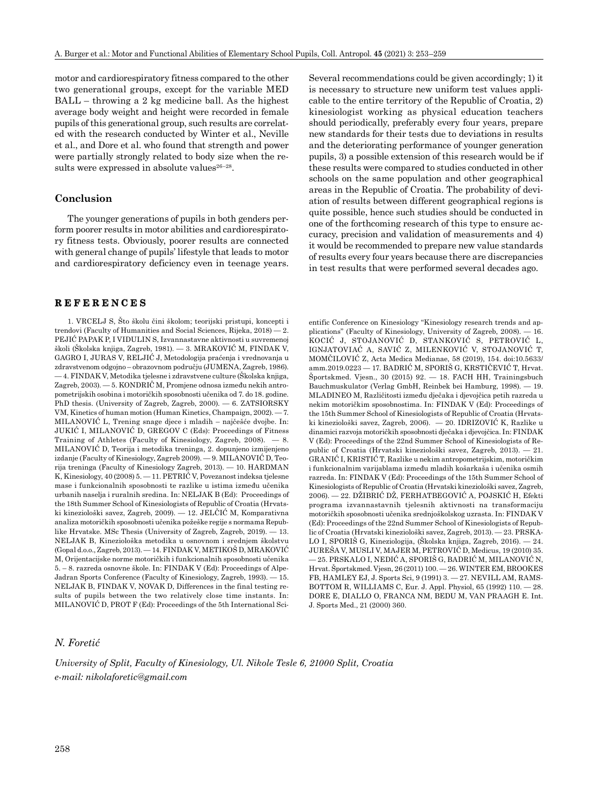motor and cardiorespiratory fitness compared to the other two generational groups, except for the variable MED BALL – throwing a 2 kg medicine ball. As the highest average body weight and height were recorded in female pupils of this generational group, such results are correlated with the research conducted by Winter et al., Neville et al., and Dore et al. who found that strength and power were partially strongly related to body size when the results were expressed in absolute values $26-28$ .

## **Conclusion**

The younger generations of pupils in both genders perform poorer results in motor abilities and cardiorespiratory fitness tests. Obviously, poorer results are connected with general change of pupils' lifestyle that leads to motor and cardiorespiratory deficiency even in teenage years.

## **REFERENCES**

1. VRCELJ S, Što školu čini školom; teorijski pristupi, koncepti i trendovi (Faculty of Humanities and Social Sciences, Rijeka, 2018) — 2. PEJIĆ PAPAK P, I VIDULIN S, Izvannastavne aktivnosti u suvremenoj školi (Školska knjiga, Zagreb, 1981). — 3. MRAKOVIĆ M, FINDAK V, GAGRO I, JURAS V, RELJIĆ J, Metodologija praćenja i vrednovanja u zdravstvenom odgojno – obrazovnom području (JUMENA, Zagreb, 1986). — 4. FINDAK V, Metodika tjelesne i zdravstvene culture (Školska knjiga, Zagreb, 2003). — 5. KONDRIČ M, Promjene odnosa između nekih antropometrijskih osobina i motoričkih sposobnosti učenika od 7. do 18. godine. PhD thesis. (University of Zagreb, Zagreb, 2000). — 6. ZATSIORSKY VM, Kinetics of human motion (Human Kinetics, Champaign, 2002). — 7. MILANOVIĆ L, Trening snage djece i mladih – najčešće dvojbe. In: JUKIĆ I, MILANOVIĆ D, GREGOV C (Eds): Proceedings of Fitness Training of Athletes (Faculty of Kinesiology, Zagreb, 2008). — 8. MILANOVIĆ D, Teorija i metodika treninga, 2. dopunjeno izmijenjeno izdanje (Faculty of Kinesiology, Zagreb 2009). — 9. MILANOVIĆ D, Teorija treninga (Faculty of Kinesiology Zagreb, 2013). — 10. HARDMAN K, Kinesiology, 40 (2008) 5. — 11. PETRIĆ V, Povezanost indeksa tjelesne mase i funkcionalnih sposobnosti te razlike u istima između učenika urbanih naselja i ruralnih sredina. In: NELJAK B (Ed): Proceedings of the 18th Summer School of Kinesiologists of Republic of Croatia (Hrvatski kineziološki savez, Zagreb, 2009). — 12. JELČIĆ M, Komparativna analiza motoričkih sposobnosti učenika požeške regije s normama Republike Hrvatske. MSc Thesis (University of Zagreb, Zagreb, 2019). — 13. NELJAK B, Kineziološka metodika u osnovnom i srednjem školstvu (Gopal d.o.o., Zagreb, 2013). — 14. FINDAK V, METIKOŠ D, MRAKOVIĆ M, Orijentacijske norme motoričkih i funkcionalnih sposobnosti učenika 5. – 8. razreda osnovne škole. In: FINDAK V (Ed): Proceedings of Alpe-Jadran Sports Conference (Faculty of Kinesiology, Zagreb, 1993). — 15. NELJAK B, FINDAK V, NOVAK D, Differences in the final testing results of pupils between the two relatively close time instants. In: MILANOVIĆ D, PROT F (Ed): Proceedings of the 5th International SciSeveral recommendations could be given accordingly; 1) it is necessary to structure new uniform test values applicable to the entire territory of the Republic of Croatia, 2) kinesiologist working as physical education teachers should periodically, preferably every four years, prepare new standards for their tests due to deviations in results and the deteriorating performance of younger generation pupils, 3) a possible extension of this research would be if these results were compared to studies conducted in other schools on the same population and other geographical areas in the Republic of Croatia. The probability of deviation of results between different geographical regions is quite possible, hence such studies should be conducted in one of the forthcoming research of this type to ensure accuracy, precision and validation of measurements and 4) it would be recommended to prepare new value standards of results every four years because there are discrepancies in test results that were performed several decades ago.

entific Conference on Kinesiology "Kinesiology research trends and applications" (Faculty of Kinesiology, University of Zagreb, 2008). — 16. KOCIĆ J, STOJANOVIĆ D, STANKOVIĆ S, PETROVIĆ L, IGNJATOVIAĆ A, SAVIĆ Z, MILENKOVIĆ V, STOJANOVIĆ T, MOMČILOVIĆ Z, Acta Medica Medianae, 58 (2019), 154. doi:10.5633/ amm.2019.0223 — 17. BADRIĆ M, SPORIŠ G, KRSTIČEVIĆ T, Hrvat. Športskmed. Vjesn., 30 (2015) 92. — 18. FACH HH, Trainingsbuch Bauchmuskulator (Verlag GmbH, Reinbek bei Hamburg, 1998). — 19. MLADINEO M, Različitosti između dječaka i djevojčica petih razreda u nekim motoričkim sposobnostima. In: FINDAK V (Ed): Proceedings of the 15th Summer School of Kinesiologists of Republic of Croatia (Hrvatski kineziološki savez, Zagreb, 2006). — 20. IDRIZOVIĆ K, Razlike u dinamici razvoja motoričkih sposobnosti dječaka i djevojčica. In: FINDAK V (Ed): Proceedings of the 22nd Summer School of Kinesiologists of Republic of Croatia (Hrvatski kineziološki savez, Zagreb, 2013). — 21. GRANIĆ I, KRISTIĆ T, Razlike u nekim antropometrijskim, motoričkim i funkcionalnim varijablama između mladih košarkaša i učenika osmih razreda. In: FINDAK V (Ed): Proceedings of the 15th Summer School of Kinesiologists of Republic of Croatia (Hrvatski kineziološki savez, Zagreb, 2006). — 22. DŽIBRIĆ DŽ, FERHATBEGOVIĆ A, POJSKIĆ H, Efekti programa izvannastavnih tjelesnih aktivnosti na transformaciju motoričkih sposobnosti učenika srednjoškolskog uzrasta. In: FINDAK V (Ed): Proceedings of the 22nd Summer School of Kinesiologists of Republic of Croatia (Hrvatski kineziološki savez, Zagreb, 2013). — 23. PRSKA-LO I, SPORIŠ G, Kineziologija, (Školska knjiga, Zagreb, 2016). — 24. JUREŠA V, MUSLI V, MAJER M, PETROVIĆ D, Medicus, 19 (2010) 35. — 25. PRSKALO I, NEDIĆ A, SPORIŠ G, BADRIĆ M, MILANOVIĆ N, Hrvat. Športskmed. Vjesn, 26 (2011) 100. — 26. WINTER EM, BROOKES FB, HAMLEY EJ, J. Sports Sci, 9 (1991) 3. — 27. NEVILL AM, RAMS-BOTTOM R, WILLIAMS C, Eur. J. Appl. Physiol, 65 (1992) 110. — 28. DORE E, DIALLO O, FRANCA NM, BEDU M, VAN PRAAGH E. Int. J. Sports Med., 21 (2000) 360.

#### *N. Foretić*

*University of Split, Faculty of Kinesiology, Ul. Nikole Tesle 6, 21000 Split, Croatia e-mail: nikolaforetic@gmail.com*